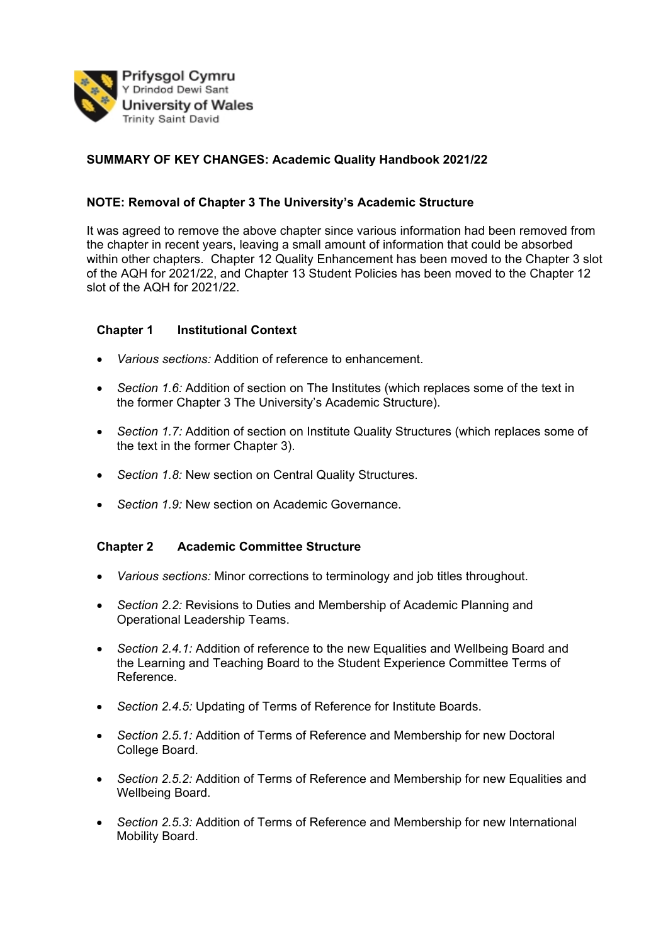

# **SUMMARY OF KEY CHANGES: Academic Quality Handbook 2021/22**

#### **NOTE: Removal of Chapter 3 The University's Academic Structure**

It was agreed to remove the above chapter since various information had been removed from the chapter in recent years, leaving a small amount of information that could be absorbed within other chapters. Chapter 12 Quality Enhancement has been moved to the Chapter 3 slot of the AQH for 2021/22, and Chapter 13 Student Policies has been moved to the Chapter 12 slot of the AQH for 2021/22.

#### **Chapter 1 Institutional Context**

- *Various sections:* Addition of reference to enhancement.
- *Section 1.6:* Addition of section on The Institutes (which replaces some of the text in the former Chapter 3 The University's Academic Structure).
- *Section 1.7:* Addition of section on Institute Quality Structures (which replaces some of the text in the former Chapter 3).
- *Section 1.8:* New section on Central Quality Structures.
- *Section 1.9:* New section on Academic Governance.

#### **Chapter 2 Academic Committee Structure**

- *Various sections:* Minor corrections to terminology and job titles throughout.
- *Section 2.2:* Revisions to Duties and Membership of Academic Planning and Operational Leadership Teams.
- *Section 2.4.1:* Addition of reference to the new Equalities and Wellbeing Board and the Learning and Teaching Board to the Student Experience Committee Terms of Reference.
- *Section 2.4.5:* Updating of Terms of Reference for Institute Boards.
- *Section 2.5.1:* Addition of Terms of Reference and Membership for new Doctoral College Board.
- *Section 2.5.2:* Addition of Terms of Reference and Membership for new Equalities and Wellbeing Board.
- *Section 2.5.3:* Addition of Terms of Reference and Membership for new International Mobility Board.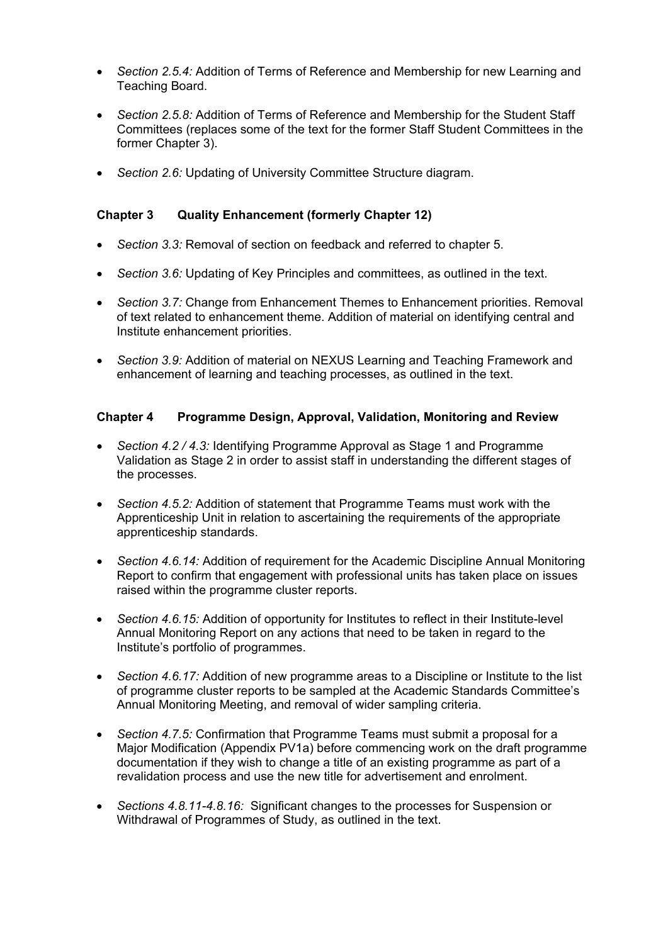- *Section 2.5.4:* Addition of Terms of Reference and Membership for new Learning and Teaching Board.
- *Section 2.5.8:* Addition of Terms of Reference and Membership for the Student Staff Committees (replaces some of the text for the former Staff Student Committees in the former Chapter 3).
- *Section 2.6:* Updating of University Committee Structure diagram.

# **Chapter 3 Quality Enhancement (formerly Chapter 12)**

- *Section 3.3:* Removal of section on feedback and referred to chapter 5.
- *Section 3.6:* Updating of Key Principles and committees, as outlined in the text.
- *Section 3.7:* Change from Enhancement Themes to Enhancement priorities. Removal of text related to enhancement theme. Addition of material on identifying central and Institute enhancement priorities.
- *Section 3.9:* Addition of material on NEXUS Learning and Teaching Framework and enhancement of learning and teaching processes, as outlined in the text.

# **Chapter 4 Programme Design, Approval, Validation, Monitoring and Review**

- *Section 4.2 / 4.3:* Identifying Programme Approval as Stage 1 and Programme Validation as Stage 2 in order to assist staff in understanding the different stages of the processes.
- *Section 4.5.2:* Addition of statement that Programme Teams must work with the Apprenticeship Unit in relation to ascertaining the requirements of the appropriate apprenticeship standards.
- *Section 4.6.14:* Addition of requirement for the Academic Discipline Annual Monitoring Report to confirm that engagement with professional units has taken place on issues raised within the programme cluster reports.
- *Section 4.6.15:* Addition of opportunity for Institutes to reflect in their Institute-level Annual Monitoring Report on any actions that need to be taken in regard to the Institute's portfolio of programmes.
- *Section 4.6.17:* Addition of new programme areas to a Discipline or Institute to the list of programme cluster reports to be sampled at the Academic Standards Committee's Annual Monitoring Meeting, and removal of wider sampling criteria.
- *Section 4.7.5:* Confirmation that Programme Teams must submit a proposal for a Major Modification (Appendix PV1a) before commencing work on the draft programme documentation if they wish to change a title of an existing programme as part of a revalidation process and use the new title for advertisement and enrolment.
- *Sections 4.8.11-4.8.16:* Significant changes to the processes for Suspension or Withdrawal of Programmes of Study, as outlined in the text.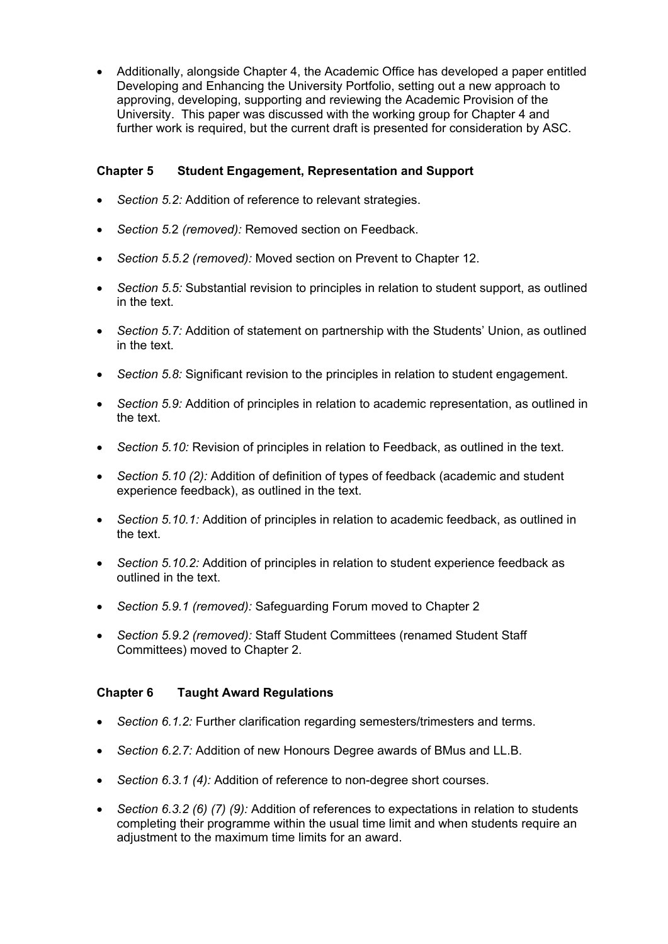• Additionally, alongside Chapter 4, the Academic Office has developed a paper entitled Developing and Enhancing the University Portfolio, setting out a new approach to approving, developing, supporting and reviewing the Academic Provision of the University. This paper was discussed with the working group for Chapter 4 and further work is required, but the current draft is presented for consideration by ASC.

# **Chapter 5 Student Engagement, Representation and Support**

- Section 5.2: Addition of reference to relevant strategies.
- *Section 5.*2 *(removed):* Removed section on Feedback.
- *Section 5.5.2 (removed):* Moved section on Prevent to Chapter 12.
- *Section 5.5:* Substantial revision to principles in relation to student support, as outlined in the text.
- *Section 5.7:* Addition of statement on partnership with the Students' Union, as outlined in the text.
- *Section 5.8:* Significant revision to the principles in relation to student engagement.
- *Section 5.9:* Addition of principles in relation to academic representation, as outlined in the text.
- *Section 5.10:* Revision of principles in relation to Feedback, as outlined in the text.
- *Section 5.10 (2):* Addition of definition of types of feedback (academic and student experience feedback), as outlined in the text.
- *Section 5.10.1:* Addition of principles in relation to academic feedback, as outlined in the text.
- *Section 5.10.2:* Addition of principles in relation to student experience feedback as outlined in the text.
- *Section 5.9.1 (removed):* Safeguarding Forum moved to Chapter 2
- *Section 5.9.2 (removed):* Staff Student Committees (renamed Student Staff Committees) moved to Chapter 2.

## **Chapter 6 Taught Award Regulations**

- *Section 6.1.2:* Further clarification regarding semesters/trimesters and terms.
- *Section 6.2.7:* Addition of new Honours Degree awards of BMus and LL.B.
- *Section 6.3.1 (4):* Addition of reference to non-degree short courses.
- *Section 6.3.2 (6) (7) (9):* Addition of references to expectations in relation to students completing their programme within the usual time limit and when students require an adjustment to the maximum time limits for an award.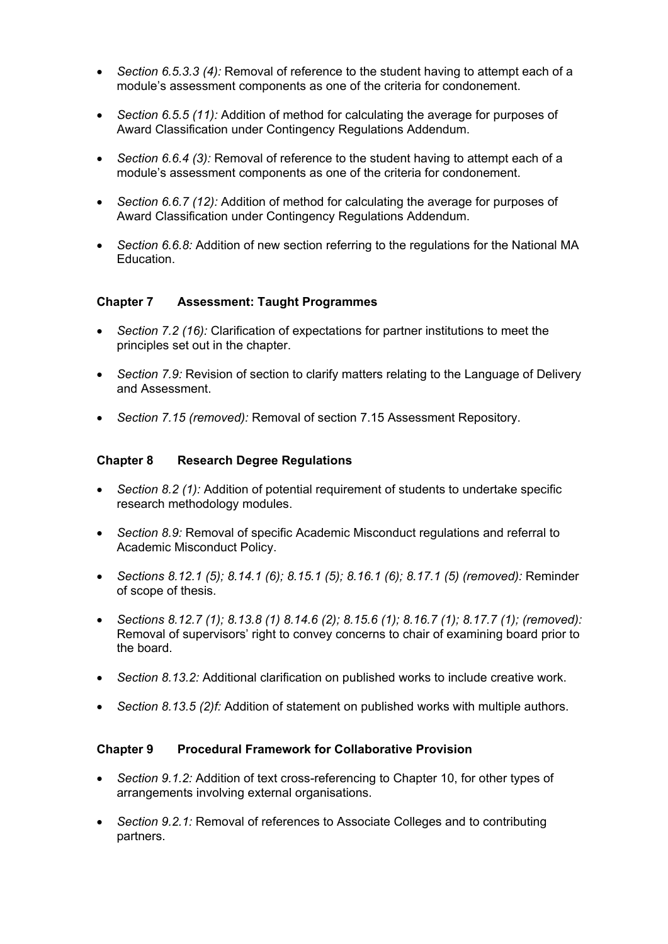- *Section 6.5.3.3 (4):* Removal of reference to the student having to attempt each of a module's assessment components as one of the criteria for condonement.
- *Section 6.5.5 (11):* Addition of method for calculating the average for purposes of Award Classification under Contingency Regulations Addendum.
- *Section 6.6.4 (3):* Removal of reference to the student having to attempt each of a module's assessment components as one of the criteria for condonement.
- *Section 6.6.7 (12):* Addition of method for calculating the average for purposes of Award Classification under Contingency Regulations Addendum.
- *Section 6.6.8:* Addition of new section referring to the regulations for the National MA Education.

## **Chapter 7 Assessment: Taught Programmes**

- *Section 7.2 (16):* Clarification of expectations for partner institutions to meet the principles set out in the chapter.
- *Section 7.9:* Revision of section to clarify matters relating to the Language of Delivery and Assessment.
- *Section 7.15 (removed):* Removal of section 7.15 Assessment Repository.

#### **Chapter 8 Research Degree Regulations**

- *Section 8.2 (1):* Addition of potential requirement of students to undertake specific research methodology modules.
- *Section 8.9:* Removal of specific Academic Misconduct regulations and referral to Academic Misconduct Policy.
- *Sections 8.12.1 (5); 8.14.1 (6); 8.15.1 (5); 8.16.1 (6); 8.17.1 (5) (removed):* Reminder of scope of thesis.
- *Sections 8.12.7 (1); 8.13.8 (1) 8.14.6 (2); 8.15.6 (1); 8.16.7 (1); 8.17.7 (1); (removed):*  Removal of supervisors' right to convey concerns to chair of examining board prior to the board.
- *Section 8.13.2:* Additional clarification on published works to include creative work.
- *Section 8.13.5 (2)f:* Addition of statement on published works with multiple authors.

#### **Chapter 9 Procedural Framework for Collaborative Provision**

- *Section 9.1.2:* Addition of text cross-referencing to Chapter 10, for other types of arrangements involving external organisations.
- *Section 9.2.1:* Removal of references to Associate Colleges and to contributing partners.